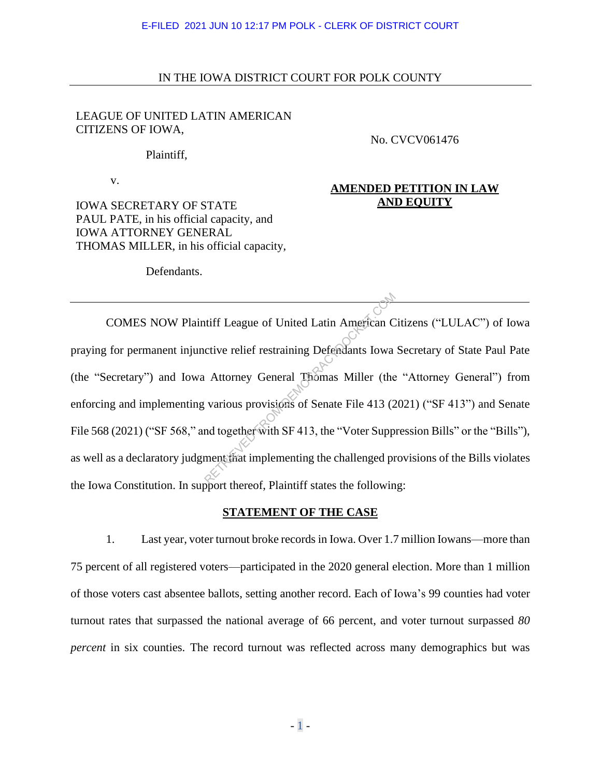## IN THE IOWA DISTRICT COURT FOR POLK COUNTY

## LEAGUE OF UNITED LATIN AMERICAN CITIZENS OF IOWA,

No. CVCV061476

Plaintiff,

v.

IOWA SECRETARY OF STATE PAUL PATE, in his official capacity, and IOWA ATTORNEY GENERAL THOMAS MILLER, in his official capacity,

# **AMENDED PETITION IN LAW AND EQUITY**

Defendants.

COMES NOW Plaintiff League of United Latin American Citizens ("LULAC") of Iowa praying for permanent injunctive relief restraining Defendants Iowa Secretary of State Paul Pate (the "Secretary") and Iowa Attorney General Thomas Miller (the "Attorney General") from enforcing and implementing various provisions of Senate File 413 (2021) ("SF 413") and Senate File 568 (2021) ("SF 568," and together with SF 413, the "Voter Suppression Bills" or the "Bills"), as well as a declaratory judgment that implementing the challenged provisions of the Bills violates the Iowa Constitution. In support thereof, Plaintiff states the following: International Contract Contract Contract Center of United Latin American C<br>Citive relief restraining Defendants Iowa<br>Attorney General Thomas Miller (the<br>various provisions of Senate File 413 (2<br>and together with SF 413, th

## **STATEMENT OF THE CASE**

1. Last year, voter turnout broke records in Iowa. Over 1.7 million Iowans—more than 75 percent of all registered voters—participated in the 2020 general election. More than 1 million of those voters cast absentee ballots, setting another record. Each of Iowa's 99 counties had voter turnout rates that surpassed the national average of 66 percent, and voter turnout surpassed *80 percent* in six counties. The record turnout was reflected across many demographics but was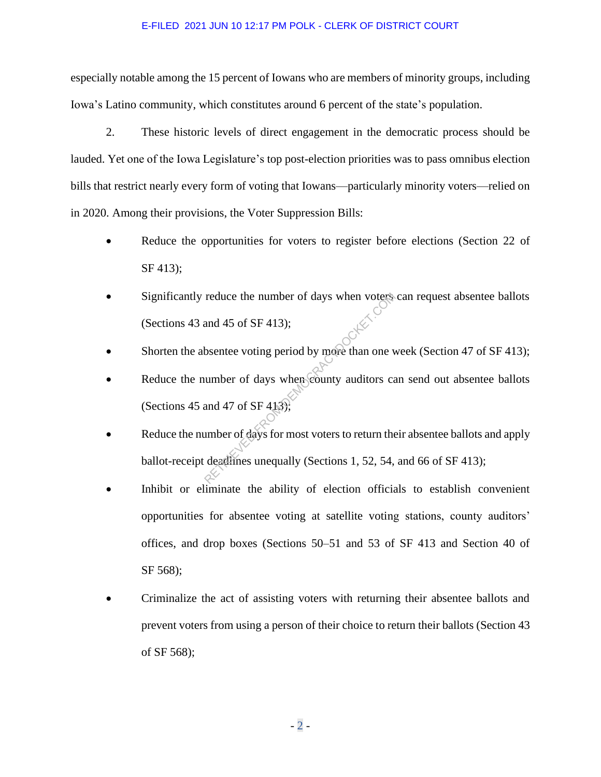especially notable among the 15 percent of Iowans who are members of minority groups, including Iowa's Latino community, which constitutes around 6 percent of the state's population.

2. These historic levels of direct engagement in the democratic process should be lauded. Yet one of the Iowa Legislature's top post-election priorities was to pass omnibus election bills that restrict nearly every form of voting that Iowans—particularly minority voters—relied on in 2020. Among their provisions, the Voter Suppression Bills:

- Reduce the opportunities for voters to register before elections (Section 22 of SF 413);
- Significantly reduce the number of days when voters can request absentee ballots (Sections 43 and 45 of SF 413);
- Shorten the absentee voting period by more than one week (Section 47 of SF 413);
- Reduce the number of days when county auditors can send out absentee ballots (Sections 45 and 47 of SF 413); reduce the number of days when voters<br>and 45 of SF 413);<br>bsentee voting period by more than one v<br>umber of days when county auditors cand 47 of SF 413);<br>umber of days for most voters to return the<br>deadlines unequally (Sec
- Reduce the number of days for most voters to return their absentee ballots and apply ballot-receipt deadlines unequally (Sections 1, 52, 54, and 66 of SF 413);
- Inhibit or eliminate the ability of election officials to establish convenient opportunities for absentee voting at satellite voting stations, county auditors' offices, and drop boxes (Sections 50–51 and 53 of SF 413 and Section 40 of SF 568);
- Criminalize the act of assisting voters with returning their absentee ballots and prevent voters from using a person of their choice to return their ballots (Section 43 of SF 568);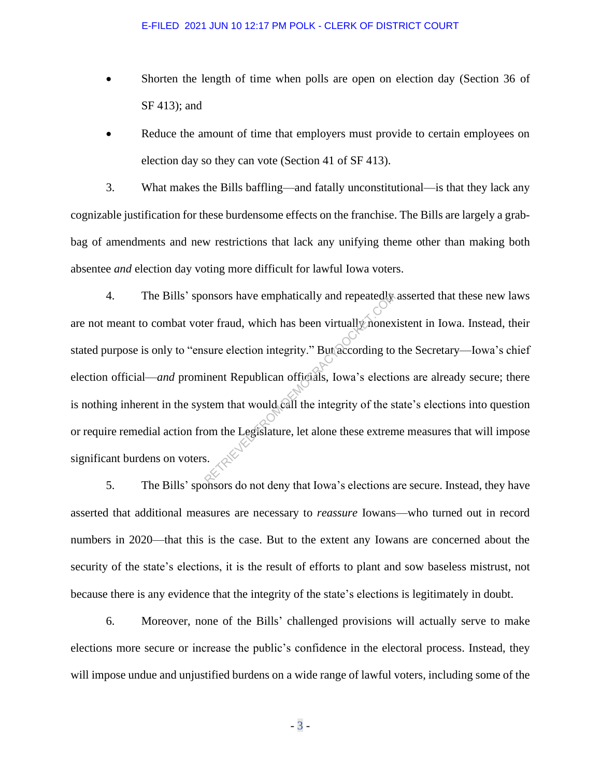- Shorten the length of time when polls are open on election day (Section 36 of SF 413); and
- Reduce the amount of time that employers must provide to certain employees on election day so they can vote (Section 41 of SF 413).

3. What makes the Bills baffling—and fatally unconstitutional—is that they lack any cognizable justification for these burdensome effects on the franchise. The Bills are largely a grabbag of amendments and new restrictions that lack any unifying theme other than making both absentee *and* election day voting more difficult for lawful Iowa voters.

4. The Bills' sponsors have emphatically and repeatedly asserted that these new laws are not meant to combat voter fraud, which has been virtually nonexistent in Iowa. Instead, their stated purpose is only to "ensure election integrity." But according to the Secretary—Iowa's chief election official—*and* prominent Republican officials, Iowa's elections are already secure; there is nothing inherent in the system that would call the integrity of the state's elections into question or require remedial action from the Legislature, let alone these extreme measures that will impose significant burdens on voters. onsors have emphatically and repeatedly<br>er fraud, which has been virtually nonex<br>sure election integrity." But according to<br>inent Republican officials, Iowa's electic<br>stem that would call the integrity of the s<br>om the Legi

5. The Bills' sponsors do not deny that Iowa's elections are secure. Instead, they have asserted that additional measures are necessary to *reassure* Iowans—who turned out in record numbers in 2020—that this is the case. But to the extent any Iowans are concerned about the security of the state's elections, it is the result of efforts to plant and sow baseless mistrust, not because there is any evidence that the integrity of the state's elections is legitimately in doubt.

6. Moreover, none of the Bills' challenged provisions will actually serve to make elections more secure or increase the public's confidence in the electoral process. Instead, they will impose undue and unjustified burdens on a wide range of lawful voters, including some of the

- 3 -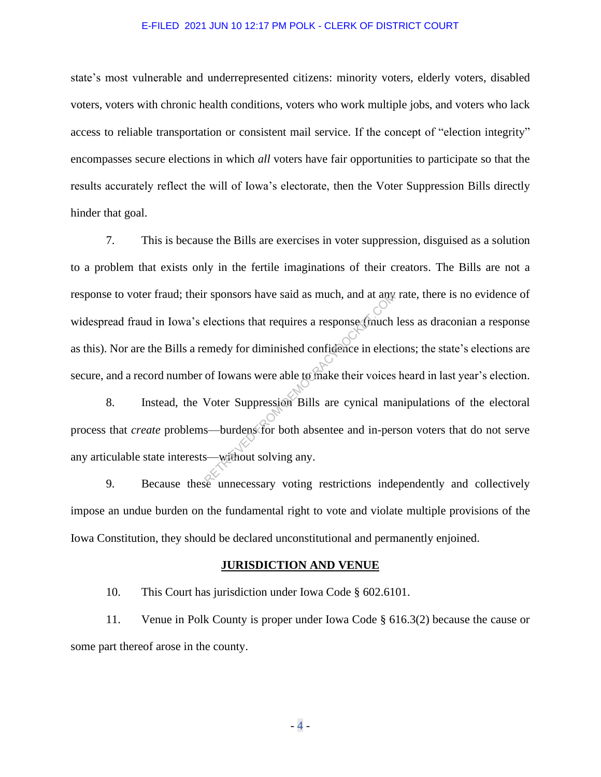state's most vulnerable and underrepresented citizens: minority voters, elderly voters, disabled voters, voters with chronic health conditions, voters who work multiple jobs, and voters who lack access to reliable transportation or consistent mail service. If the concept of "election integrity" encompasses secure elections in which *all* voters have fair opportunities to participate so that the results accurately reflect the will of Iowa's electorate, then the Voter Suppression Bills directly hinder that goal.

7. This is because the Bills are exercises in voter suppression, disguised as a solution to a problem that exists only in the fertile imaginations of their creators. The Bills are not a response to voter fraud; their sponsors have said as much, and at any rate, there is no evidence of widespread fraud in Iowa's elections that requires a response (much less as draconian a response as this). Nor are the Bills a remedy for diminished confidence in elections; the state's elections are secure, and a record number of Iowans were able to make their voices heard in last year's election. r sponsors have said as much, and at any<br>elections that requires a response (much<br>emedy for diminished confidence in elect<br>of Iowans were able to make their voices<br>Voter Suppression Bills are cynical ma<br>s—burdens for both

8. Instead, the Voter Suppression Bills are cynical manipulations of the electoral process that *create* problems—burdens for both absentee and in-person voters that do not serve any articulable state interests—without solving any.

9. Because these unnecessary voting restrictions independently and collectively impose an undue burden on the fundamental right to vote and violate multiple provisions of the Iowa Constitution, they should be declared unconstitutional and permanently enjoined.

#### **JURISDICTION AND VENUE**

10. This Court has jurisdiction under Iowa Code § 602.6101.

11. Venue in Polk County is proper under Iowa Code § 616.3(2) because the cause or some part thereof arose in the county.

 $-4 -$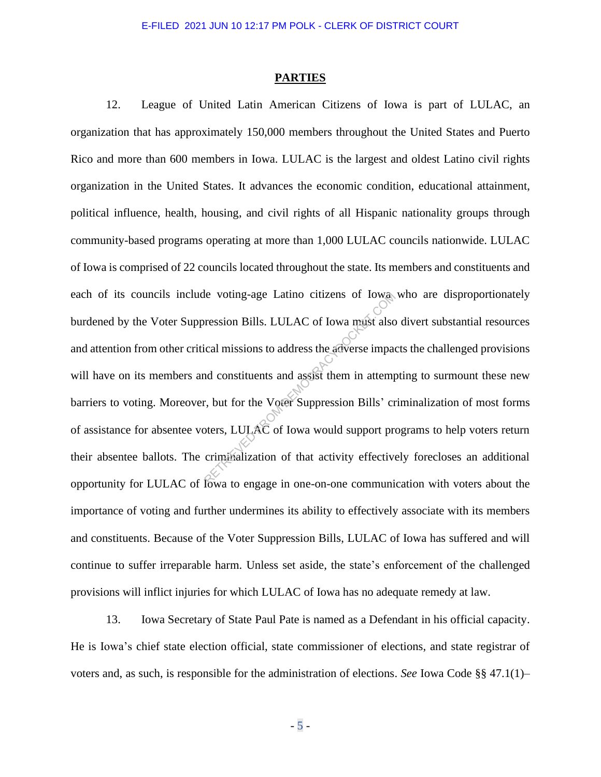#### **PARTIES**

12. League of United Latin American Citizens of Iowa is part of LULAC, an organization that has approximately 150,000 members throughout the United States and Puerto Rico and more than 600 members in Iowa. LULAC is the largest and oldest Latino civil rights organization in the United States. It advances the economic condition, educational attainment, political influence, health, housing, and civil rights of all Hispanic nationality groups through community-based programs operating at more than 1,000 LULAC councils nationwide. LULAC of Iowa is comprised of 22 councils located throughout the state. Its members and constituents and each of its councils include voting-age Latino citizens of Iowa who are disproportionately burdened by the Voter Suppression Bills. LULAC of Iowa must also divert substantial resources and attention from other critical missions to address the adverse impacts the challenged provisions will have on its members and constituents and assist them in attempting to surmount these new barriers to voting. Moreover, but for the Voter Suppression Bills' criminalization of most forms of assistance for absentee voters, LULAC of Iowa would support programs to help voters return their absentee ballots. The criminalization of that activity effectively forecloses an additional opportunity for LULAC of Iowa to engage in one-on-one communication with voters about the importance of voting and further undermines its ability to effectively associate with its members and constituents. Because of the Voter Suppression Bills, LULAC of Iowa has suffered and will continue to suffer irreparable harm. Unless set aside, the state's enforcement of the challenged provisions will inflict injuries for which LULAC of Iowa has no adequate remedy at law. Returnal contraction Bills. LULAC of Iowa must also<br>ression Bills. LULAC of Iowa must also<br>lical missions to address the adverse impair<br>and constituents and assist them in attempt<br>r, but for the Voter Suppression Bills' cr

13. Iowa Secretary of State Paul Pate is named as a Defendant in his official capacity. He is Iowa's chief state election official, state commissioner of elections, and state registrar of voters and, as such, is responsible for the administration of elections. *See* Iowa Code §§ 47.1(1)–

- 5 -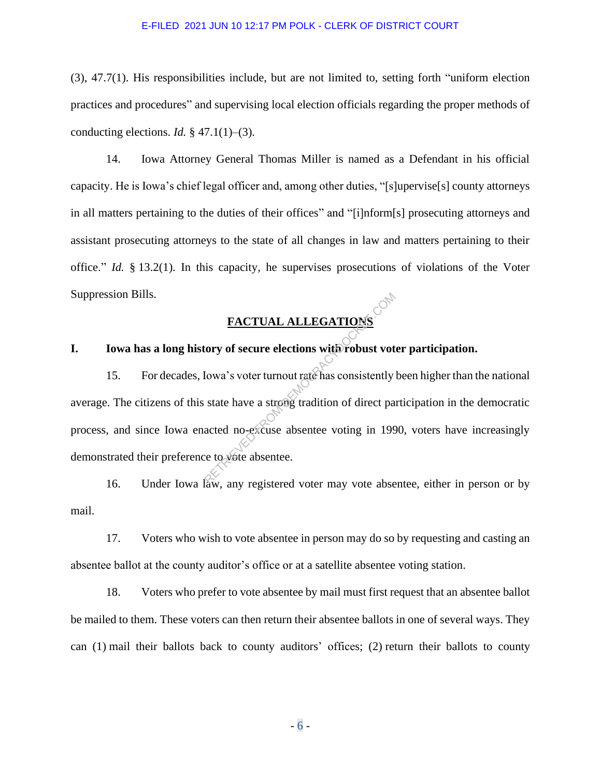(3), 47.7(1). His responsibilities include, but are not limited to, setting forth "uniform election practices and procedures" and supervising local election officials regarding the proper methods of conducting elections. *Id.*  $\S$  47.1(1)–(3).

14. Iowa Attorney General Thomas Miller is named as a Defendant in his official capacity. He is Iowa's chief legal officer and, among other duties, "[s]upervise[s] county attorneys in all matters pertaining to the duties of their offices" and "[i]nform[s] prosecuting attorneys and assistant prosecuting attorneys to the state of all changes in law and matters pertaining to their office." *Id.* § 13.2(1). In this capacity, he supervises prosecutions of violations of the Voter Suppression Bills.

# **FACTUAL ALLEGATIONS**

## **I. Iowa has a long history of secure elections with robust voter participation.**

15. For decades, Iowa's voter turnout rate has consistently been higher than the national average. The citizens of this state have a strong tradition of direct participation in the democratic process, and since Iowa enacted no-excuse absentee voting in 1990, voters have increasingly demonstrated their preference to vote absentee. FACTUAL ALLEGATIONS<br>tory of secure elections with robust vot<br>lowa's voter turnout rate has consistently<br>state have a strong tradition of direct pa<br>acted no-excuse absentee voting in 199<br>e to vote absentee.

16. Under Iowa law, any registered voter may vote absentee, either in person or by mail.

17. Voters who wish to vote absentee in person may do so by requesting and casting an absentee ballot at the county auditor's office or at a satellite absentee voting station.

18. Voters who prefer to vote absentee by mail must first request that an absentee ballot be mailed to them. These voters can then return their absentee ballots in one of several ways. They can (1) mail their ballots back to county auditors' offices; (2) return their ballots to county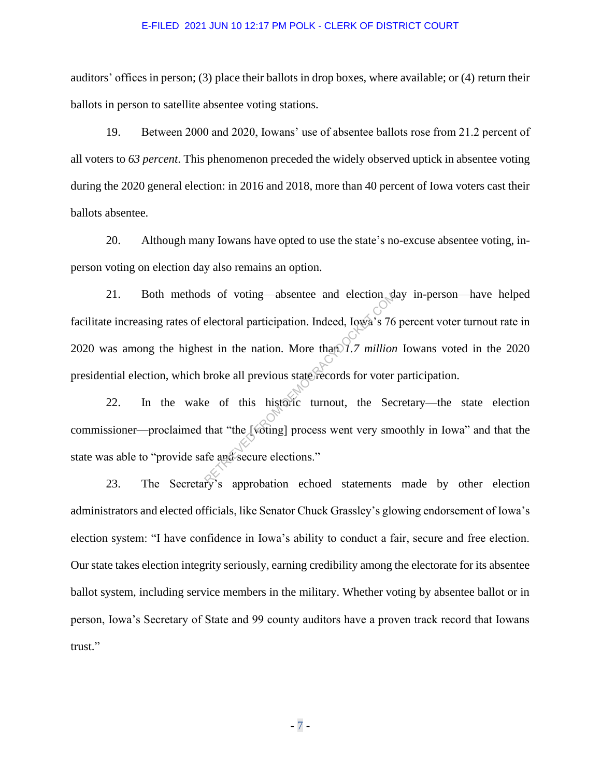auditors' offices in person; (3) place their ballots in drop boxes, where available; or (4) return their ballots in person to satellite absentee voting stations.

19. Between 2000 and 2020, Iowans' use of absentee ballots rose from 21.2 percent of all voters to *63 percent*. This phenomenon preceded the widely observed uptick in absentee voting during the 2020 general election: in 2016 and 2018, more than 40 percent of Iowa voters cast their ballots absentee.

20. Although many Iowans have opted to use the state's no-excuse absentee voting, inperson voting on election day also remains an option.

21. Both methods of voting—absentee and election day in-person—have helped facilitate increasing rates of electoral participation. Indeed, Iowa's 76 percent voter turnout rate in 2020 was among the highest in the nation. More than *1.7 million* Iowans voted in the 2020 presidential election, which broke all previous state records for voter participation. Is of voting—absentee and election at<br>electoral participation. Indeed, Iowa's 76<br>st in the nation. More than 1.7 million<br>broke all previous state records for voter<br>e of this historic turnout, the Sec<br>that "the [voting] pro

22. In the wake of this historic turnout, the Secretary—the state election commissioner—proclaimed that "the [voting] process went very smoothly in Iowa" and that the state was able to "provide safe and secure elections."

23. The Secretary's approbation echoed statements made by other election administrators and elected officials, like Senator Chuck Grassley's glowing endorsement of Iowa's election system: "I have confidence in Iowa's ability to conduct a fair, secure and free election. Our state takes election integrity seriously, earning credibility among the electorate for its absentee ballot system, including service members in the military. Whether voting by absentee ballot or in person, Iowa's Secretary of State and 99 county auditors have a proven track record that Iowans trust."

- 7 -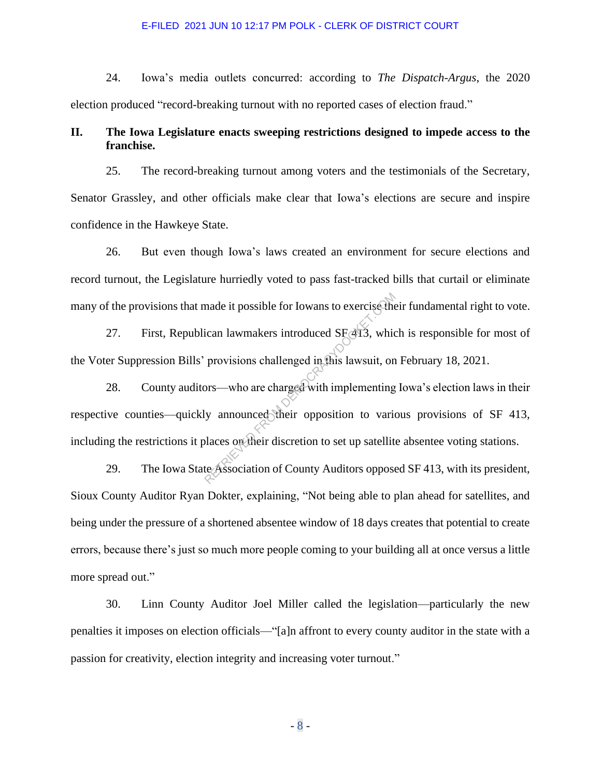24. Iowa's media outlets concurred: according to *The Dispatch-Argus*, the 2020 election produced "record-breaking turnout with no reported cases of election fraud."

# **II. The Iowa Legislature enacts sweeping restrictions designed to impede access to the franchise.**

25. The record-breaking turnout among voters and the testimonials of the Secretary, Senator Grassley, and other officials make clear that Iowa's elections are secure and inspire confidence in the Hawkeye State.

26. But even though Iowa's laws created an environment for secure elections and record turnout, the Legislature hurriedly voted to pass fast-tracked bills that curtail or eliminate many of the provisions that made it possible for Iowans to exercise their fundamental right to vote.

27. First, Republican lawmakers introduced SF 413, which is responsible for most of the Voter Suppression Bills' provisions challenged in this lawsuit, on February 18, 2021.

28. County auditors—who are charged with implementing Iowa's election laws in their respective counties—quickly announced their opposition to various provisions of SF 413, including the restrictions it places on their discretion to set up satellite absentee voting stations. made it possible for Iowans to exercise the<br>ican lawmakers introduced SF413, which<br>provisions challenged in this lawsuit, on<br>ors—who are charged with implementing<br>ly announced their opposition to variables<br>of their discret

29. The Iowa State Association of County Auditors opposed SF 413, with its president, Sioux County Auditor Ryan Dokter, explaining, "Not being able to plan ahead for satellites, and being under the pressure of a shortened absentee window of 18 days creates that potential to create errors, because there's just so much more people coming to your building all at once versus a little more spread out."

30. Linn County Auditor Joel Miller called the legislation—particularly the new penalties it imposes on election officials—"[a]n affront to every county auditor in the state with a passion for creativity, election integrity and increasing voter turnout."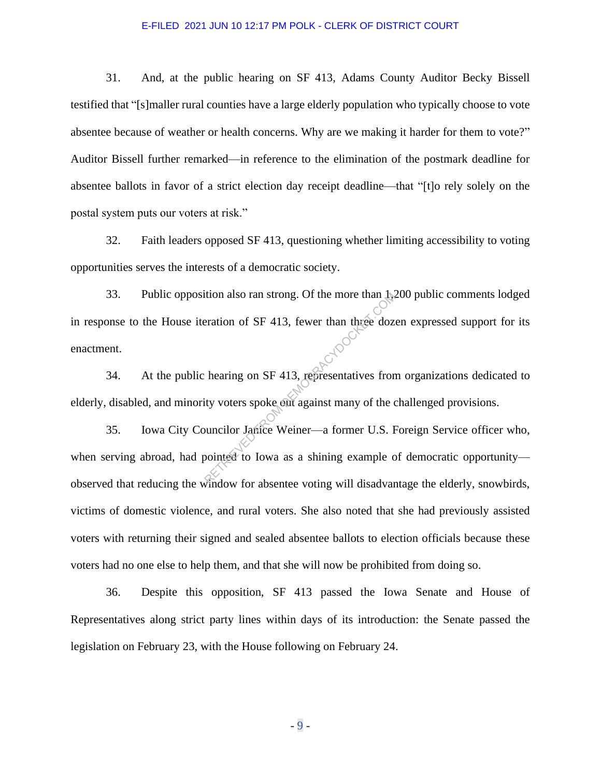31. And, at the public hearing on SF 413, Adams County Auditor Becky Bissell testified that "[s]maller rural counties have a large elderly population who typically choose to vote absentee because of weather or health concerns. Why are we making it harder for them to vote?" Auditor Bissell further remarked—in reference to the elimination of the postmark deadline for absentee ballots in favor of a strict election day receipt deadline—that "[t]o rely solely on the postal system puts our voters at risk."

32. Faith leaders opposed SF 413, questioning whether limiting accessibility to voting opportunities serves the interests of a democratic society.

33. Public opposition also ran strong. Of the more than 1,200 public comments lodged in response to the House iteration of SF 413, fewer than three dozen expressed support for its enactment. enactment. Retation of SF 413, fewer than three doz<br>eration of SF 413, fewer than three doz<br>hearing on SF 413, representatives from<br>ity voters spoke out against many of the councilor Janice Weiner—a former U.S. If<br>pointed to Iowa as

34. At the public hearing on SF 413, representatives from organizations dedicated to elderly, disabled, and minority voters spoke out against many of the challenged provisions.

35. Iowa City Councilor Janice Weiner—a former U.S. Foreign Service officer who, when serving abroad, had pointed to Iowa as a shining example of democratic opportunity observed that reducing the window for absentee voting will disadvantage the elderly, snowbirds, victims of domestic violence, and rural voters. She also noted that she had previously assisted voters with returning their signed and sealed absentee ballots to election officials because these voters had no one else to help them, and that she will now be prohibited from doing so.

36. Despite this opposition, SF 413 passed the Iowa Senate and House of Representatives along strict party lines within days of its introduction: the Senate passed the legislation on February 23, with the House following on February 24.

- 9 -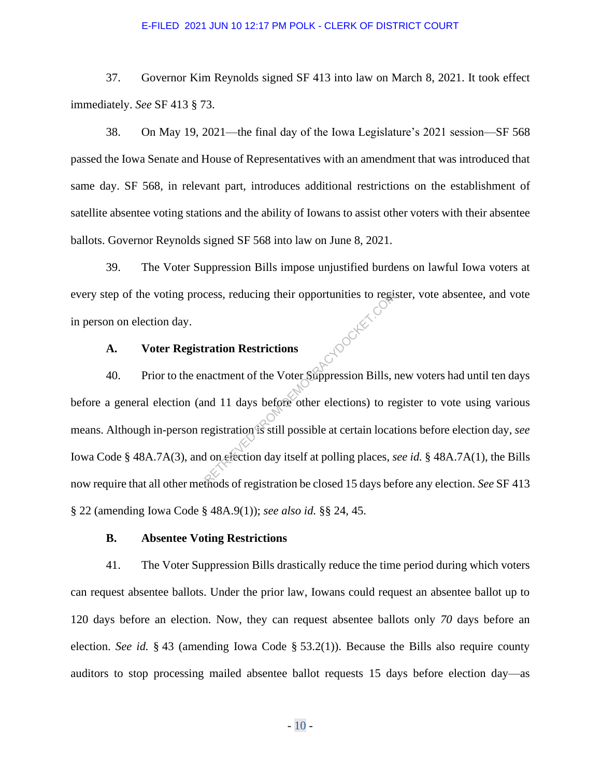37. Governor Kim Reynolds signed SF 413 into law on March 8, 2021. It took effect immediately. *See* SF 413 § 73.

38. On May 19, 2021—the final day of the Iowa Legislature's 2021 session—SF 568 passed the Iowa Senate and House of Representatives with an amendment that was introduced that same day. SF 568, in relevant part, introduces additional restrictions on the establishment of satellite absentee voting stations and the ability of Iowans to assist other voters with their absentee ballots. Governor Reynolds signed SF 568 into law on June 8, 2021.

39. The Voter Suppression Bills impose unjustified burdens on lawful Iowa voters at every step of the voting process, reducing their opportunities to register, vote absentee, and vote in person on election day. **HOOCKET.CC** 

## **A. Voter Registration Restrictions**

40. Prior to the enactment of the Voter Suppression Bills, new voters had until ten days before a general election (and 11 days before other elections) to register to vote using various means. Although in-person registration is still possible at certain locations before election day, *see* Iowa Code § 48A.7A(3), and on election day itself at polling places, *see id.* § 48A.7A(1), the Bills now require that all other methods of registration be closed 15 days before any election. *See* SF 413 § 22 (amending Iowa Code § 48A.9(1)); *see also id.* §§ 24, 45.

## **B. Absentee Voting Restrictions**

41. The Voter Suppression Bills drastically reduce the time period during which voters can request absentee ballots. Under the prior law, Iowans could request an absentee ballot up to 120 days before an election. Now, they can request absentee ballots only *70* days before an election. *See id.* § 43 (amending Iowa Code § 53.2(1)). Because the Bills also require county auditors to stop processing mailed absentee ballot requests 15 days before election day—as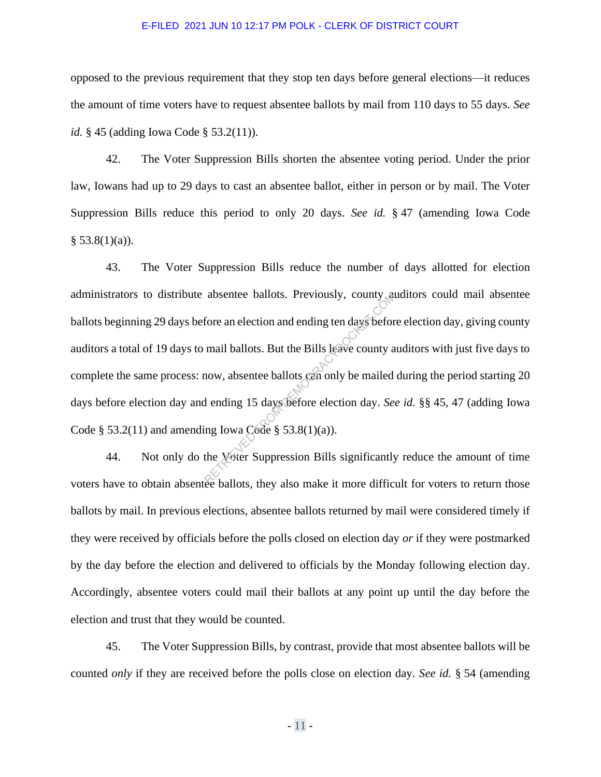opposed to the previous requirement that they stop ten days before general elections—it reduces the amount of time voters have to request absentee ballots by mail from 110 days to 55 days. *See id.* § 45 (adding Iowa Code § 53.2(11)).

42. The Voter Suppression Bills shorten the absentee voting period. Under the prior law, Iowans had up to 29 days to cast an absentee ballot, either in person or by mail. The Voter Suppression Bills reduce this period to only 20 days. *See id.* § 47 (amending Iowa Code  $§ 53.8(1)(a)$ .

43. The Voter Suppression Bills reduce the number of days allotted for election administrators to distribute absentee ballots. Previously, county auditors could mail absentee ballots beginning 29 days before an election and ending ten days before election day, giving county auditors a total of 19 days to mail ballots. But the Bills leave county auditors with just five days to complete the same process: now, absentee ballots can only be mailed during the period starting 20 days before election day and ending 15 days before election day. *See id.* §§ 45, 47 (adding Iowa Code  $\S$  53.2(11) and amending Iowa Code  $\S$  53.8(1)(a)). absentee ballots. Previously, county and<br>fore an election and ending ten days beformail ballots. But the Bills leave county a<br>now, absentee ballots can only be mailed<br>in ending 15 days before election day. See<br>ing Iowa Ce

44. Not only do the Voter Suppression Bills significantly reduce the amount of time voters have to obtain absentee ballots, they also make it more difficult for voters to return those ballots by mail. In previous elections, absentee ballots returned by mail were considered timely if they were received by officials before the polls closed on election day *or* if they were postmarked by the day before the election and delivered to officials by the Monday following election day. Accordingly, absentee voters could mail their ballots at any point up until the day before the election and trust that they would be counted.

45. The Voter Suppression Bills, by contrast, provide that most absentee ballots will be counted *only* if they are received before the polls close on election day. *See id.* § 54 (amending

- 11 -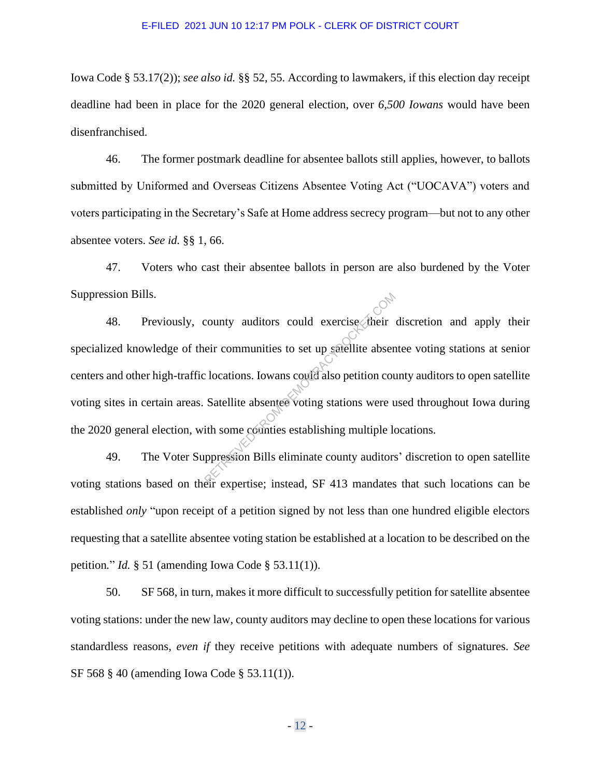Iowa Code § 53.17(2)); *see also id.* §§ 52, 55. According to lawmakers, if this election day receipt deadline had been in place for the 2020 general election, over *6,500 Iowans* would have been disenfranchised.

46. The former postmark deadline for absentee ballots still applies, however, to ballots submitted by Uniformed and Overseas Citizens Absentee Voting Act ("UOCAVA") voters and voters participating in the Secretary's Safe at Home address secrecy program—but not to any other absentee voters. *See id.* §§ 1, 66.

47. Voters who cast their absentee ballots in person are also burdened by the Voter Suppression Bills.

48. Previously, county auditors could exercise their discretion and apply their specialized knowledge of their communities to set up satellite absentee voting stations at senior centers and other high-traffic locations. Iowans could also petition county auditors to open satellite voting sites in certain areas. Satellite absentee voting stations were used throughout Iowa during the 2020 general election, with some counties establishing multiple locations. County auditors could exercise their<br>eir communities to set up satellite absen<br>clocations. Iowans could also petition courses.<br>Satellite absentee voting stations were used.<br>the some counties establishing multiple loppressi

49. The Voter Suppression Bills eliminate county auditors' discretion to open satellite voting stations based on their expertise; instead, SF 413 mandates that such locations can be established *only* "upon receipt of a petition signed by not less than one hundred eligible electors requesting that a satellite absentee voting station be established at a location to be described on the petition*.*" *Id.* § 51 (amending Iowa Code § 53.11(1)).

50. SF 568, in turn, makes it more difficult to successfully petition for satellite absentee voting stations: under the new law, county auditors may decline to open these locations for various standardless reasons, *even if* they receive petitions with adequate numbers of signatures. *See* SF 568 § 40 (amending Iowa Code § 53.11(1)).

- 12 -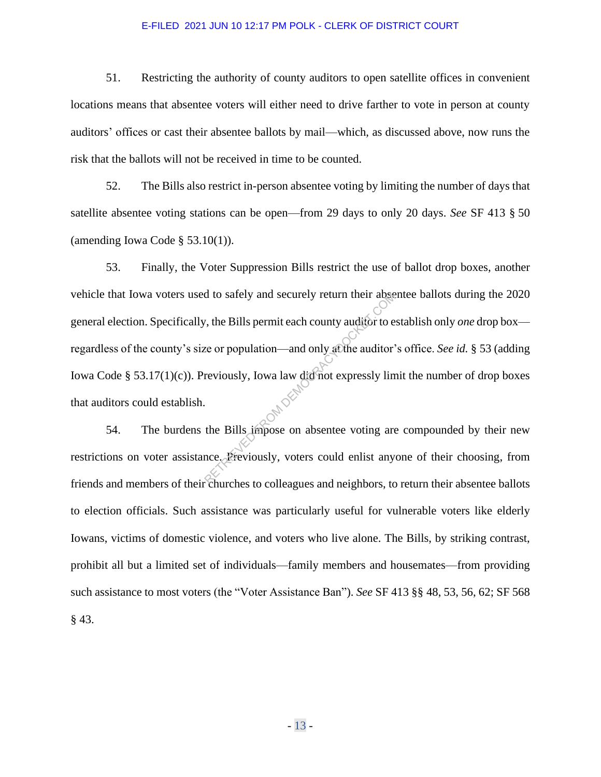51. Restricting the authority of county auditors to open satellite offices in convenient locations means that absentee voters will either need to drive farther to vote in person at county auditors' offices or cast their absentee ballots by mail—which, as discussed above, now runs the risk that the ballots will not be received in time to be counted.

52. The Bills also restrict in-person absentee voting by limiting the number of days that satellite absentee voting stations can be open—from 29 days to only 20 days. *See* SF 413 § 50 (amending Iowa Code  $\S$  53.10(1)).

53. Finally, the Voter Suppression Bills restrict the use of ballot drop boxes, another vehicle that Iowa voters used to safely and securely return their absentee ballots during the 2020 general election. Specifically, the Bills permit each county auditor to establish only *one* drop box regardless of the county's size or population—and only at the auditor's office. *See id.* § 53 (adding Iowa Code § 53.17(1)(c)). Previously, Iowa law did not expressly limit the number of drop boxes that auditors could establish.  $54.$  The burdens the Bills impose on absentee voting are compounded by their new reviously, the Bills permit each county auditor to express to express to express to the Bills impose on absentee voting are the Bills impose on absentee voting are the Bills impose on absentee voting are the Bills impose o

restrictions on voter assistance. Previously, voters could enlist anyone of their choosing, from friends and members of their churches to colleagues and neighbors, to return their absentee ballots to election officials. Such assistance was particularly useful for vulnerable voters like elderly Iowans, victims of domestic violence, and voters who live alone. The Bills, by striking contrast, prohibit all but a limited set of individuals—family members and housemates—from providing such assistance to most voters (the "Voter Assistance Ban"). *See* SF 413 §§ 48, 53, 56, 62; SF 568 § 43.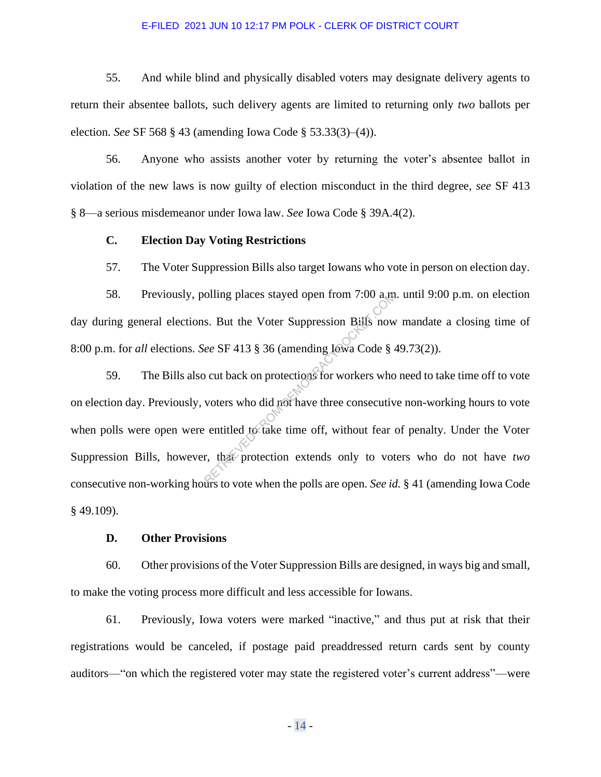55. And while blind and physically disabled voters may designate delivery agents to return their absentee ballots, such delivery agents are limited to returning only *two* ballots per election. *See* SF 568 § 43 (amending Iowa Code § 53.33(3)–(4)).

56. Anyone who assists another voter by returning the voter's absentee ballot in violation of the new laws is now guilty of election misconduct in the third degree, *see* SF 413 § 8—a serious misdemeanor under Iowa law. *See* Iowa Code § 39A.4(2).

## **C. Election Day Voting Restrictions**

57. The Voter Suppression Bills also target Iowans who vote in person on election day.

58. Previously, polling places stayed open from 7:00 a.m. until 9:00 p.m. on election day during general elections. But the Voter Suppression Bills now mandate a closing time of 8:00 p.m. for *all* elections. *See* SF 413 § 36 (amending Iowa Code § 49.73(2)).

59. The Bills also cut back on protections for workers who need to take time off to vote on election day. Previously, voters who did not have three consecutive non-working hours to vote when polls were open were entitled to take time off, without fear of penalty. Under the Voter Suppression Bills, however, that protection extends only to voters who do not have *two* consecutive non-working hours to vote when the polls are open. *See id.* § 41 (amending Iowa Code § 49.109). olling places stayed open from 7:00 a m<br>s. But the Voter Suppression Bills now<br>lee SF 413 § 36 (amending Jowa Code § 4<br>o cut back on protections for workers who<br>voters who did not have three consecutive<br>entitled to take ti

## **D. Other Provisions**

60. Other provisions of the Voter Suppression Bills are designed, in ways big and small, to make the voting process more difficult and less accessible for Iowans.

61. Previously, Iowa voters were marked "inactive," and thus put at risk that their registrations would be canceled, if postage paid preaddressed return cards sent by county auditors—"on which the registered voter may state the registered voter's current address"—were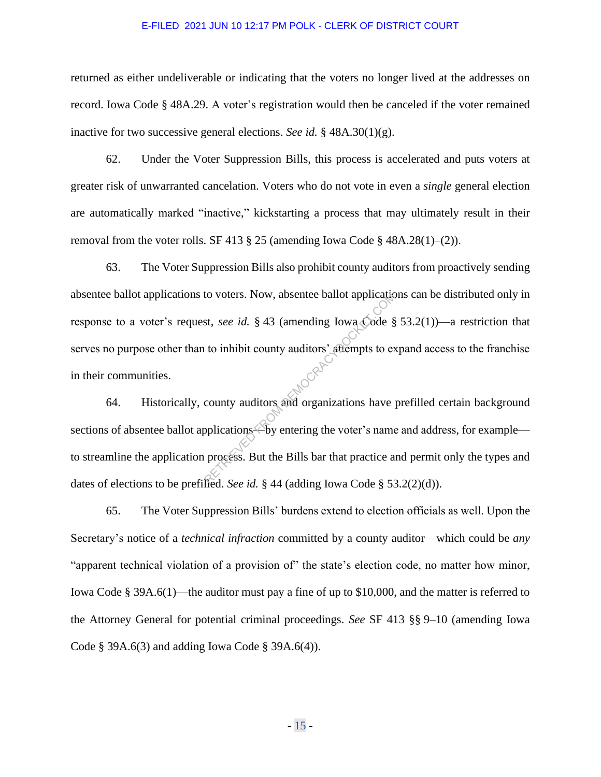returned as either undeliverable or indicating that the voters no longer lived at the addresses on record. Iowa Code § 48A.29. A voter's registration would then be canceled if the voter remained inactive for two successive general elections. *See id.* § 48A.30(1)(g).

62. Under the Voter Suppression Bills, this process is accelerated and puts voters at greater risk of unwarranted cancelation. Voters who do not vote in even a *single* general election are automatically marked "inactive," kickstarting a process that may ultimately result in their removal from the voter rolls. SF 413  $\S$  25 (amending Iowa Code  $\S$  48A.28(1)–(2)).

63. The Voter Suppression Bills also prohibit county auditors from proactively sending absentee ballot applications to voters. Now, absentee ballot applications can be distributed only in response to a voter's request, *see id.* § 43 (amending Iowa Code § 53.2(1))—a restriction that serves no purpose other than to inhibit county auditors' attempts to expand access to the franchise in their communities. to voters. Now, absentee ballot applicated<br>st, *see id.* § 43 (amending Iowa Code §<br>to inhibit county auditors' attempts to executly auditors and organizations have poplications. But the Bills bar that practice a

64. Historically, county auditors and organizations have prefilled certain background sections of absentee ballot applications—by entering the voter's name and address, for example to streamline the application process. But the Bills bar that practice and permit only the types and dates of elections to be prefilled. *See id.* § 44 (adding Iowa Code § 53.2(2)(d)).

65. The Voter Suppression Bills' burdens extend to election officials as well. Upon the Secretary's notice of a *technical infraction* committed by a county auditor—which could be *any* "apparent technical violation of a provision of" the state's election code, no matter how minor, Iowa Code § 39A.6(1)—the auditor must pay a fine of up to \$10,000, and the matter is referred to the Attorney General for potential criminal proceedings. *See* SF 413 §§ 9–10 (amending Iowa Code § 39A.6(3) and adding Iowa Code § 39A.6(4)).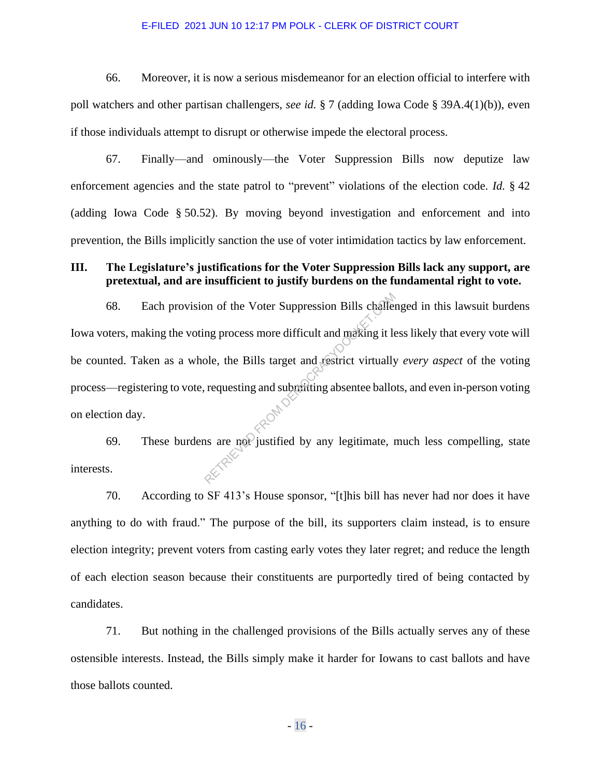66. Moreover, it is now a serious misdemeanor for an election official to interfere with poll watchers and other partisan challengers, *see id.* § 7 (adding Iowa Code § 39A.4(1)(b)), even if those individuals attempt to disrupt or otherwise impede the electoral process.

67. Finally—and ominously—the Voter Suppression Bills now deputize law enforcement agencies and the state patrol to "prevent" violations of the election code. *Id.* § 42 (adding Iowa Code § 50.52). By moving beyond investigation and enforcement and into prevention, the Bills implicitly sanction the use of voter intimidation tactics by law enforcement.

## **III. The Legislature's justifications for the Voter Suppression Bills lack any support, are pretextual, and are insufficient to justify burdens on the fundamental right to vote.**

68. Each provision of the Voter Suppression Bills challenged in this lawsuit burdens Iowa voters, making the voting process more difficult and making it less likely that every vote will be counted. Taken as a whole, the Bills target and restrict virtually *every aspect* of the voting process—registering to vote, requesting and submitting absentee ballots, and even in-person voting on election day. on of the Voter Suppression Bills challer<br>ng process more difficult and making it levels.<br>the Bills target and restrict virtually<br>requesting and submitting absentee ballo<br>ns are not justified by any legitimate, and

69. These burdens are not justified by any legitimate, much less compelling, state interests.

70. According to SF 413's House sponsor, "[t]his bill has never had nor does it have anything to do with fraud." The purpose of the bill, its supporters claim instead, is to ensure election integrity; prevent voters from casting early votes they later regret; and reduce the length of each election season because their constituents are purportedly tired of being contacted by candidates.

71. But nothing in the challenged provisions of the Bills actually serves any of these ostensible interests. Instead, the Bills simply make it harder for Iowans to cast ballots and have those ballots counted.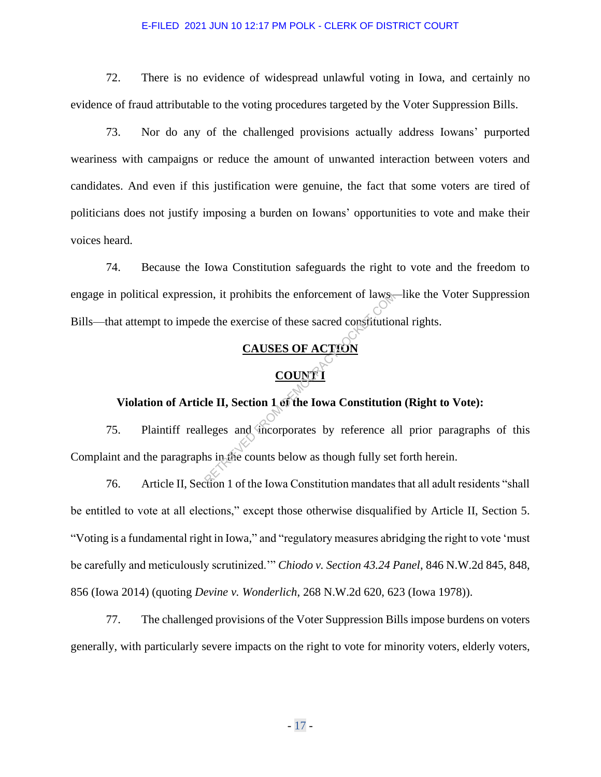72. There is no evidence of widespread unlawful voting in Iowa, and certainly no evidence of fraud attributable to the voting procedures targeted by the Voter Suppression Bills.

73. Nor do any of the challenged provisions actually address Iowans' purported weariness with campaigns or reduce the amount of unwanted interaction between voters and candidates. And even if this justification were genuine, the fact that some voters are tired of politicians does not justify imposing a burden on Iowans' opportunities to vote and make their voices heard.

74. Because the Iowa Constitution safeguards the right to vote and the freedom to engage in political expression, it prohibits the enforcement of laws—like the Voter Suppression Bills—that attempt to impede the exercise of these sacred constitutional rights.

# **CAUSES OF ACTION**

# **COUNT I**

# **Violation of Article II, Section 1 of the Iowa Constitution (Right to Vote):**

75. Plaintiff realleges and incorporates by reference all prior paragraphs of this Complaint and the paragraphs in the counts below as though fully set forth herein. on, it prohibits the enforcement of laws-<br>
Le the exercise of these sacred constitution<br>
CAUSES OF ACTION<br>
COUNT I<br>
Le II, Section 1 of the Iowa Constitution<br>
Leges and sincorporates by reference as<br>
as in the counts below

76. Article II, Section 1 of the Iowa Constitution mandates that all adult residents "shall be entitled to vote at all elections," except those otherwise disqualified by Article II, Section 5. "Voting is a fundamental right in Iowa," and "regulatory measures abridging the right to vote 'must be carefully and meticulously scrutinized.'" *Chiodo v. Section 43.24 Panel*, 846 N.W.2d 845, 848, 856 (Iowa 2014) (quoting *Devine v. Wonderlich*, 268 N.W.2d 620, 623 (Iowa 1978)).

77. The challenged provisions of the Voter Suppression Bills impose burdens on voters generally, with particularly severe impacts on the right to vote for minority voters, elderly voters,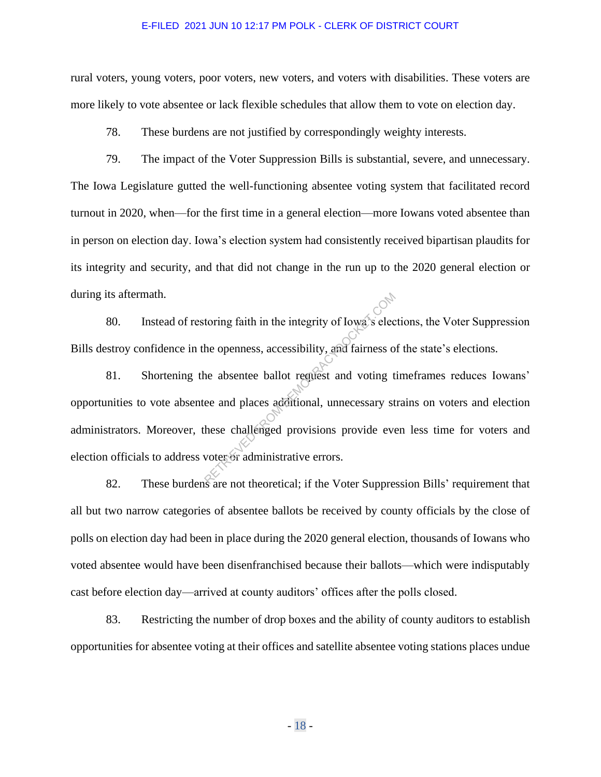rural voters, young voters, poor voters, new voters, and voters with disabilities. These voters are more likely to vote absentee or lack flexible schedules that allow them to vote on election day.

78. These burdens are not justified by correspondingly weighty interests.

79. The impact of the Voter Suppression Bills is substantial, severe, and unnecessary. The Iowa Legislature gutted the well-functioning absentee voting system that facilitated record turnout in 2020, when—for the first time in a general election—more Iowans voted absentee than in person on election day. Iowa's election system had consistently received bipartisan plaudits for its integrity and security, and that did not change in the run up to the 2020 general election or during its aftermath.

80. Instead of restoring faith in the integrity of Iowa's elections, the Voter Suppression Bills destroy confidence in the openness, accessibility, and fairness of the state's elections.

81. Shortening the absentee ballot request and voting timeframes reduces Iowans' opportunities to vote absentee and places additional, unnecessary strains on voters and election administrators. Moreover, these challenged provisions provide even less time for voters and election officials to address voter or administrative errors. toring faith in the integrity of Iowa's electric compared to the openness, accessibility, and fairness of the openness, accessibility, and fairness of the absentee ballot request and voting the e and places additional, unn

82. These burdens are not theoretical; if the Voter Suppression Bills' requirement that all but two narrow categories of absentee ballots be received by county officials by the close of polls on election day had been in place during the 2020 general election, thousands of Iowans who voted absentee would have been disenfranchised because their ballots—which were indisputably cast before election day—arrived at county auditors' offices after the polls closed.

83. Restricting the number of drop boxes and the ability of county auditors to establish opportunities for absentee voting at their offices and satellite absentee voting stations places undue

- 18 -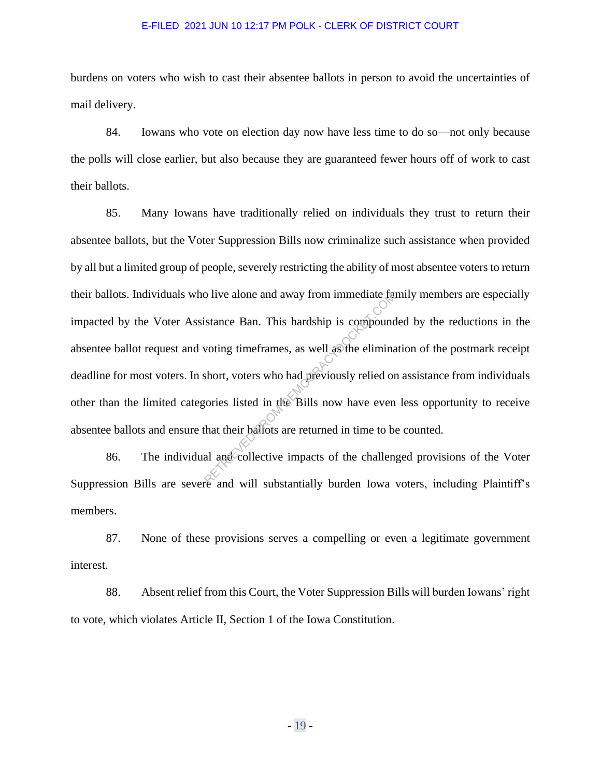burdens on voters who wish to cast their absentee ballots in person to avoid the uncertainties of mail delivery.

84. Iowans who vote on election day now have less time to do so—not only because the polls will close earlier, but also because they are guaranteed fewer hours off of work to cast their ballots.

85. Many Iowans have traditionally relied on individuals they trust to return their absentee ballots, but the Voter Suppression Bills now criminalize such assistance when provided by all but a limited group of people, severely restricting the ability of most absentee voters to return their ballots. Individuals who live alone and away from immediate family members are especially impacted by the Voter Assistance Ban. This hardship is compounded by the reductions in the absentee ballot request and voting timeframes, as well as the elimination of the postmark receipt deadline for most voters. In short, voters who had previously relied on assistance from individuals other than the limited categories listed in the Bills now have even less opportunity to receive absentee ballots and ensure that their ballots are returned in time to be counted. This hardship is compound<br>istance Ban. This hardship is compound<br>woting timeframes, as well as the elimina<br>short, voters who had previously relied or<br>gories listed in the Bills now have even<br>that their ballots are returned

86. The individual and collective impacts of the challenged provisions of the Voter Suppression Bills are severe and will substantially burden Iowa voters, including Plaintiff's members.

87. None of these provisions serves a compelling or even a legitimate government interest.

88. Absent relief from this Court, the Voter Suppression Bills will burden Iowans' right to vote, which violates Article II, Section 1 of the Iowa Constitution.

- 19 -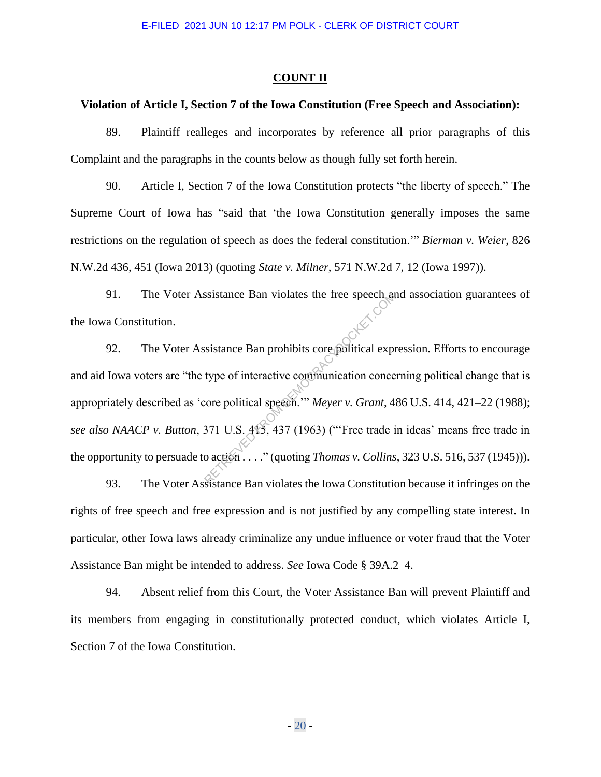#### **COUNT II**

## **Violation of Article I, Section 7 of the Iowa Constitution (Free Speech and Association):**

89. Plaintiff realleges and incorporates by reference all prior paragraphs of this Complaint and the paragraphs in the counts below as though fully set forth herein.

90. Article I, Section 7 of the Iowa Constitution protects "the liberty of speech." The Supreme Court of Iowa has "said that 'the Iowa Constitution generally imposes the same restrictions on the regulation of speech as does the federal constitution.'" *Bierman v. Weier*, 826 N.W.2d 436, 451 (Iowa 2013) (quoting *State v. Milner*, 571 N.W.2d 7, 12 (Iowa 1997)).

91. The Voter Assistance Ban violates the free speech and association guarantees of the Iowa Constitution.

92. The Voter Assistance Ban prohibits core political expression. Efforts to encourage and aid Iowa voters are "the type of interactive communication concerning political change that is appropriately described as 'core political speech.'" *Meyer v. Grant*, 486 U.S. 414, 421–22 (1988); *see also NAACP v. Button*, 371 U.S. 415, 437 (1963) ("'Free trade in ideas' means free trade in the opportunity to persuade to action . . . ." (quoting *Thomas v. Collins*, 323 U.S. 516, 537 (1945))). Sistance Ban violates the free speech as<br>
sistance Ban prohibits core political expression<br>
type of interactive communication conce<br>
core political speech."" Meyer v. Grant, 4<br>
371 U.S. 415, 437 (1963) ("Free trade is<br>
con

93. The Voter Assistance Ban violates the Iowa Constitution because it infringes on the rights of free speech and free expression and is not justified by any compelling state interest. In particular, other Iowa laws already criminalize any undue influence or voter fraud that the Voter Assistance Ban might be intended to address. *See* Iowa Code § 39A.2–4.

94. Absent relief from this Court, the Voter Assistance Ban will prevent Plaintiff and its members from engaging in constitutionally protected conduct, which violates Article I, Section 7 of the Iowa Constitution.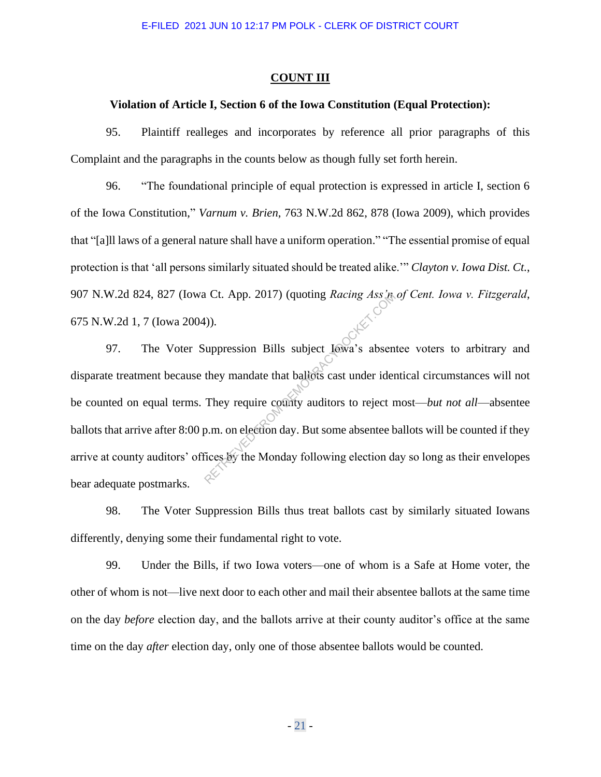#### **COUNT III**

### **Violation of Article I, Section 6 of the Iowa Constitution (Equal Protection):**

95. Plaintiff realleges and incorporates by reference all prior paragraphs of this Complaint and the paragraphs in the counts below as though fully set forth herein.

96. "The foundational principle of equal protection is expressed in article I, section 6 of the Iowa Constitution," *Varnum v. Brien*, 763 N.W.2d 862, 878 (Iowa 2009), which provides that "[a]ll laws of a general nature shall have a uniform operation." "The essential promise of equal protection is that 'all persons similarly situated should be treated alike.'" *Clayton v. Iowa Dist. Ct.*, 907 N.W.2d 824, 827 (Iowa Ct. App. 2017) (quoting *Racing Ass'n of Cent. Iowa v. Fitzgerald*, 675 N.W.2d 1, 7 (Iowa 2004)).

97. The Voter Suppression Bills subject Iowa's absentee voters to arbitrary and disparate treatment because they mandate that ballots cast under identical circumstances will not be counted on equal terms. They require county auditors to reject most—*but not all*—absentee ballots that arrive after 8:00 p.m. on election day. But some absentee ballots will be counted if they arrive at county auditors' offices by the Monday following election day so long as their envelopes bear adequate postmarks. RETRIEVED (quoting *Racing Ass*<br>
(a)).<br>
(a)).<br>
(a) uppression Bills subject Iowa's absent<br>
they mandate that ballots cast under ider<br>
They require county auditors to reject r<br>
p.m. on election day. But some absentee b<br>
fic

98. The Voter Suppression Bills thus treat ballots cast by similarly situated Iowans differently, denying some their fundamental right to vote.

99. Under the Bills, if two Iowa voters—one of whom is a Safe at Home voter, the other of whom is not—live next door to each other and mail their absentee ballots at the same time on the day *before* election day, and the ballots arrive at their county auditor's office at the same time on the day *after* election day, only one of those absentee ballots would be counted.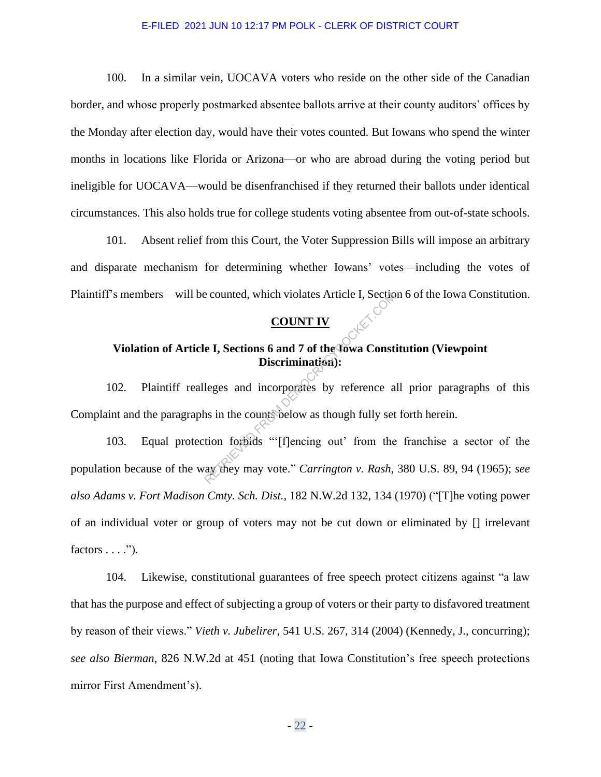100. In a similar vein, UOCAVA voters who reside on the other side of the Canadian border, and whose properly postmarked absentee ballots arrive at their county auditors' offices by the Monday after election day, would have their votes counted. But Iowans who spend the winter months in locations like Florida or Arizona—or who are abroad during the voting period but ineligible for UOCAVA—would be disenfranchised if they returned their ballots under identical circumstances. This also holds true for college students voting absentee from out-of-state schools.

101. Absent relief from this Court, the Voter Suppression Bills will impose an arbitrary and disparate mechanism for determining whether Iowans' votes—including the votes of Plaintiff's members—will be counted, which violates Article I, Section 6 of the Iowa Constitution.

## **COUNT IV**

# **Violation of Article I, Sections 6 and 7 of the Iowa Constitution (Viewpoint Discrimination):**

102. Plaintiff realleges and incorporates by reference all prior paragraphs of this Complaint and the paragraphs in the counts below as though fully set forth herein.

103. Equal protection forbids "'[f]encing out' from the franchise a sector of the population because of the way they may vote." *Carrington v. Rash*, 380 U.S. 89, 94 (1965); *see also Adams v. Fort Madison Cmty. Sch. Dist.*, 182 N.W.2d 132, 134 (1970) ("[T]he voting power of an individual voter or group of voters may not be cut down or eliminated by [] irrelevant factors  $\dots$ ."). Example 2. Sections 6 and 7 of the Towa Const<br>
Discrimination:<br>
Eges and incorporates by reference a<br>
ns in the counts below as though fully set<br>
tion forbids "[f]encing out' from the<br>
ay they may vote." *Carrington v. Ras* 

104. Likewise, constitutional guarantees of free speech protect citizens against "a law that has the purpose and effect of subjecting a group of voters or their party to disfavored treatment by reason of their views." *Vieth v. Jubelirer*, 541 U.S. 267, 314 (2004) (Kennedy, J., concurring); *see also Bierman*, 826 N.W.2d at 451 (noting that Iowa Constitution's free speech protections mirror First Amendment's).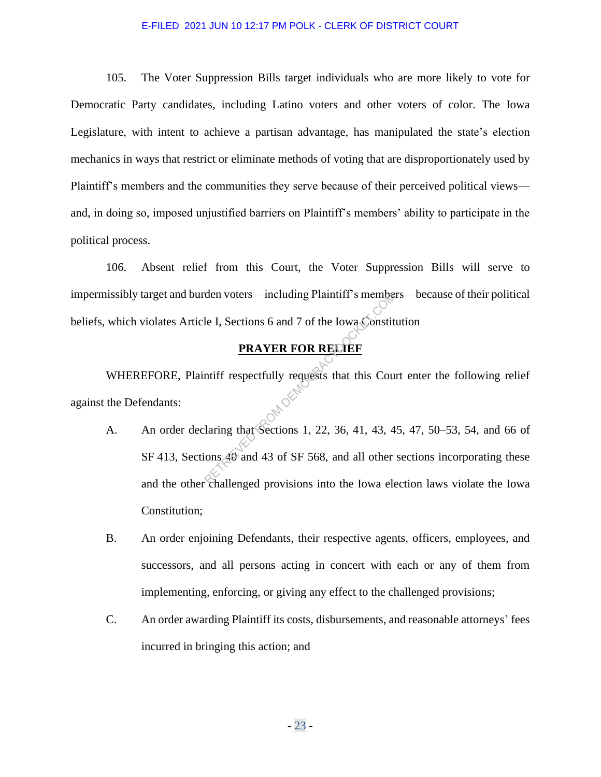105. The Voter Suppression Bills target individuals who are more likely to vote for Democratic Party candidates, including Latino voters and other voters of color. The Iowa Legislature, with intent to achieve a partisan advantage, has manipulated the state's election mechanics in ways that restrict or eliminate methods of voting that are disproportionately used by Plaintiff's members and the communities they serve because of their perceived political views and, in doing so, imposed unjustified barriers on Plaintiff's members' ability to participate in the political process.

106. Absent relief from this Court, the Voter Suppression Bills will serve to impermissibly target and burden voters—including Plaintiff's members—because of their political beliefs, which violates Article I, Sections 6 and 7 of the Iowa Constitution

## **PRAYER FOR RELIEF**

WHEREFORE, Plaintiff respectfully requests that this Court enter the following relief against the Defendants: A. An order declaring that Sections 1, 22, 36, 41, 43, 45, 47, 50–53, 54, and 66 of

- SF 413, Sections 40 and 43 of SF 568, and all other sections incorporating these and the other challenged provisions into the Iowa election laws violate the Iowa Constitution; den voters—including Plaintiff's members<br>
le I, Sections 6 and 7 of the Iowa Constit<br> **PRAYER FOR RELIEF**<br>
multiff respectfully requests that this Courting<br>
that Sections 1, 22, 36, 41, 43, 4<br>
ons 40 and 43 of SF 568, and
- B. An order enjoining Defendants, their respective agents, officers, employees, and successors, and all persons acting in concert with each or any of them from implementing, enforcing, or giving any effect to the challenged provisions;
- C. An order awarding Plaintiff its costs, disbursements, and reasonable attorneys' fees incurred in bringing this action; and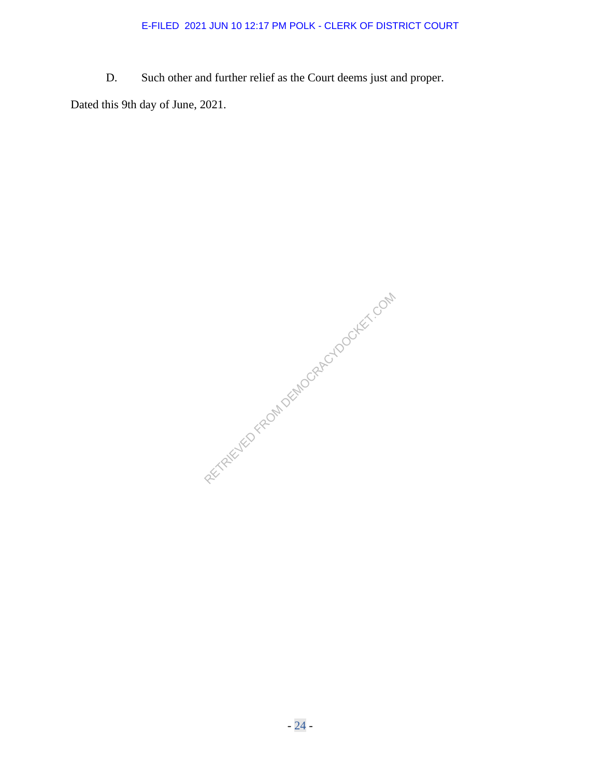D. Such other and further relief as the Court deems just and proper.

Dated this 9th day of June, 2021.

RETRIEVED FROM DEMOCRACYDOCKET.COM